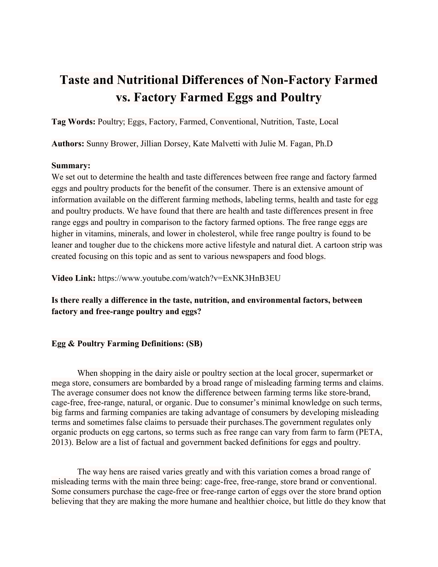# **Taste and Nutritional Differences of Non-Factory Farmed vs. Factory Farmed Eggs and Poultry**

**Tag Words:** Poultry; Eggs, Factory, Farmed, Conventional, Nutrition, Taste, Local

**Authors:** Sunny Brower, Jillian Dorsey, Kate Malvetti with Julie M. Fagan, Ph.D

### **Summary:**

We set out to determine the health and taste differences between free range and factory farmed eggs and poultry products for the benefit of the consumer. There is an extensive amount of information available on the different farming methods, labeling terms, health and taste for egg and poultry products. We have found that there are health and taste differences present in free range eggs and poultry in comparison to the factory farmed options. The free range eggs are higher in vitamins, minerals, and lower in cholesterol, while free range poultry is found to be leaner and tougher due to the chickens more active lifestyle and natural diet. A cartoon strip was created focusing on this topic and as sent to various newspapers and food blogs.

**Video Link:** https://www.youtube.com/watch?v=ExNK3HnB3EU

**Is there really a difference in the taste, nutrition, and environmental factors, between factory and free-range poultry and eggs?**

### **Egg & Poultry Farming Definitions: (SB)**

When shopping in the dairy aisle or poultry section at the local grocer, supermarket or mega store, consumers are bombarded by a broad range of misleading farming terms and claims. The average consumer does not know the difference between farming terms like store-brand, cage-free, free-range, natural, or organic. Due to consumer's minimal knowledge on such terms, big farms and farming companies are taking advantage of consumers by developing misleading terms and sometimes false claims to persuade their purchases.The government regulates only organic products on egg cartons, so terms such as free range can vary from farm to farm (PETA, 2013). Below are a list of factual and government backed definitions for eggs and poultry.

The way hens are raised varies greatly and with this variation comes a broad range of misleading terms with the main three being: cage-free, free-range, store brand or conventional. Some consumers purchase the cage-free or free-range carton of eggs over the store brand option believing that they are making the more humane and healthier choice, but little do they know that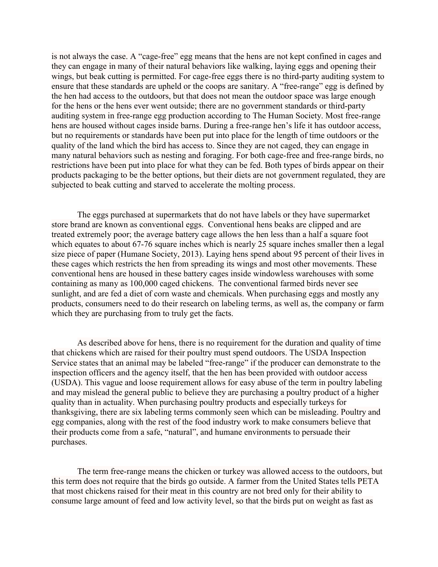is not always the case. A "cage-free" egg means that the hens are not kept confined in cages and they can engage in many of their natural behaviors like walking, laying eggs and opening their wings, but beak cutting is permitted. For cage-free eggs there is no third-party auditing system to ensure that these standards are upheld or the coops are sanitary. A "free-range" egg is defined by the hen had access to the outdoors, but that does not mean the outdoor space was large enough for the hens or the hens ever went outside; there are no government standards or third-party auditing system in free-range egg production according to The Human Society. Most free-range hens are housed without cages inside barns. During a free-range hen's life it has outdoor access, but no requirements or standards have been put into place for the length of time outdoors or the quality of the land which the bird has access to. Since they are not caged, they can engage in many natural behaviors such as nesting and foraging. For both cage-free and free-range birds, no restrictions have been put into place for what they can be fed. Both types of birds appear on their products packaging to be the better options, but their diets are not government regulated, they are subjected to beak cutting and starved to accelerate the molting process.

The eggs purchased at supermarkets that do not have labels or they have supermarket store brand are known as conventional eggs. Conventional hens beaks are clipped and are treated extremely poor; the average battery cage allows the hen less than a half a square foot which equates to about 67-76 square inches which is nearly 25 square inches smaller then a legal size piece of paper (Humane Society, 2013). Laying hens spend about 95 percent of their lives in these cages which restricts the hen from spreading its wings and most other movements. These conventional hens are housed in these battery cages inside windowless warehouses with some containing as many as 100,000 caged chickens. The conventional farmed birds never see sunlight, and are fed a diet of corn waste and chemicals. When purchasing eggs and mostly any products, consumers need to do their research on labeling terms, as well as, the company or farm which they are purchasing from to truly get the facts.

As described above for hens, there is no requirement for the duration and quality of time that chickens which are raised for their poultry must spend outdoors. The USDA Inspection Service states that an animal may be labeled "free-range" if the producer can demonstrate to the inspection officers and the agency itself, that the hen has been provided with outdoor access (USDA). This vague and loose requirement allows for easy abuse of the term in poultry labeling and may mislead the general public to believe they are purchasing a poultry product of a higher quality than in actuality. When purchasing poultry products and especially turkeys for thanksgiving, there are six labeling terms commonly seen which can be misleading. Poultry and egg companies, along with the rest of the food industry work to make consumers believe that their products come from a safe, "natural", and humane environments to persuade their purchases.

The term free-range means the chicken or turkey was allowed access to the outdoors, but this term does not require that the birds go outside. A farmer from the United States tells PETA that most chickens raised for their meat in this country are not bred only for their ability to consume large amount of feed and low activity level, so that the birds put on weight as fast as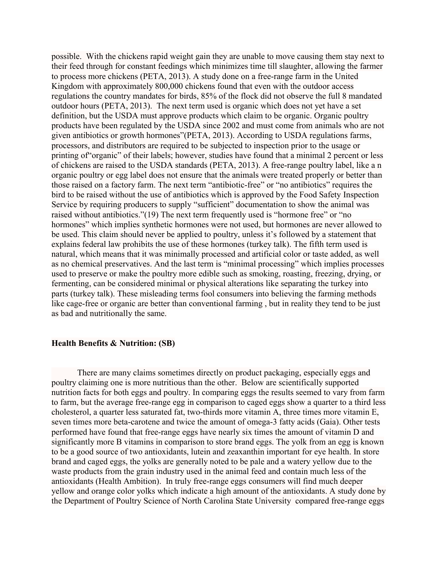possible. With the chickens rapid weight gain they are unable to move causing them stay next to their feed through for constant feedings which minimizes time till slaughter, allowing the farmer to process more chickens (PETA, 2013). A study done on a free-range farm in the United Kingdom with approximately 800,000 chickens found that even with the outdoor access regulations the country mandates for birds, 85% of the flock did not observe the full 8 mandated outdoor hours (PETA, 2013). The next term used is organic which does not yet have a set definition, but the USDA must approve products which claim to be organic. Organic poultry products have been regulated by the USDA since 2002 and must come from animals who are not given antibiotics or growth hormones"(PETA, 2013). According to USDA regulations farms, processors, and distributors are required to be subjected to inspection prior to the usage or printing of"organic" of their labels; however, studies have found that a minimal 2 percent or less of chickens are raised to the USDA standards (PETA, 2013). A free-range poultry label, like a n organic poultry or egg label does not ensure that the animals were treated properly or better than those raised on a factory farm. The next term "antibiotic-free" or "no antibiotics" requires the bird to be raised without the use of antibiotics which is approved by the Food Safety Inspection Service by requiring producers to supply "sufficient" documentation to show the animal was raised without antibiotics."(19) The next term frequently used is "hormone free" or "no hormones" which implies synthetic hormones were not used, but hormones are never allowed to be used. This claim should never be applied to poultry, unless it's followed by a statement that explains federal law prohibits the use of these hormones (turkey talk). The fifth term used is natural, which means that it was minimally processed and artificial color or taste added, as well as no chemical preservatives. And the last term is "minimal processing" which implies processes used to preserve or make the poultry more edible such as smoking, roasting, freezing, drying, or fermenting, can be considered minimal or physical alterations like separating the turkey into parts (turkey talk). These misleading terms fool consumers into believing the farming methods like cage-free or organic are better than conventional farming , but in reality they tend to be just as bad and nutritionally the same.

### **Health Benefits & Nutrition: (SB)**

There are many claims sometimes directly on product packaging, especially eggs and poultry claiming one is more nutritious than the other. Below are scientifically supported nutrition facts for both eggs and poultry. In comparing eggs the results seemed to vary from farm to farm, but the average free-range egg in comparison to caged eggs show a quarter to a third less cholesterol, a quarter less saturated fat, two-thirds more vitamin A, three times more vitamin E, seven times more beta-carotene and twice the amount of omega-3 fatty acids (Gaia). Other tests performed have found that free-range eggs have nearly six times the amount of vitamin D and significantly more B vitamins in comparison to store brand eggs. The yolk from an egg is known to be a good source of two antioxidants, lutein and zeaxanthin important for eye health. In store brand and caged eggs, the yolks are generally noted to be pale and a watery yellow due to the waste products from the grain industry used in the animal feed and contain much less of the antioxidants (Health Ambition). In truly free-range eggs consumers will find much deeper yellow and orange color yolks which indicate a high amount of the antioxidants. A study done by the Department of Poultry Science of North Carolina State University compared free-range eggs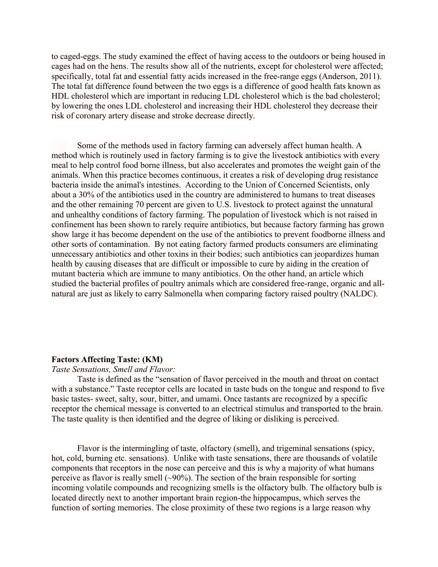to caged-eggs. The study examined the effect of having access to the outdoors or being housed in cages had on the hens. The results show all of the nutrients, except for cholesterol were affected; specifically, total fat and essential fatty acids increased in the free-range eggs (Anderson, 2011). The total fat difference found between the two eggs is a difference of good health fats known as HDL cholesterol which are important in reducing LDL cholesterol which is the bad cholesterol; by lowering the ones LDL cholesterol and increasing their HDL cholesterol they decrease their risk of coronary artery disease and stroke decrease directly.

Some of the methods used in factory farming can adversely affect human health. A method which is routinely used in factory farming is to give the livestock antibiotics with every meal to help control food borne illness, but also accelerates and promotes the weight gain of the animals. When this practice becomes continuous, it creates a risk of developing drug resistance bacteria inside the animal's intestines. According to the Union of Concerned Scientists, only about a 30% of the antibiotics used in the country are administered to humans to treat diseases and the other remaining 70 percent are given to U.S. livestock to protect against the unnatural and unhealthy conditions of factory farming. The population of livestock which is not raised in confinement has been shown to rarely require antibiotics, but because factory farming has grown show large it has become dependent on the use of the antibiotics to prevent foodborne illness and other sorts of contamination. By not eating factory farmed products consumers are eliminating unnecessary antibiotics and other toxins in their bodies; such antibiotics can jeopardizes human health by causing diseases that are difficult or impossible to cure by aiding in the creation of mutant bacteria which are immune to many antibiotics. On the other hand, an article which studied the bacterial profiles of poultry animals which are considered free-range, organic and allnatural are just as likely to carry Salmonella when comparing factory raised poultry (NALDC).

#### **Factors Affecting Taste: (KM)**

#### *Taste Sensations, Smell and Flavor:*

Taste is defined as the "sensation of flavor perceived in the mouth and throat on contact with a substance." Taste receptor cells are located in taste buds on the tongue and respond to five basic tastes- sweet, salty, sour, bitter, and umami. Once tastants are recognized by a specific receptor the chemical message is converted to an electrical stimulus and transported to the brain. The taste quality is then identified and the degree of liking or disliking is perceived.

Flavor is the intermingling of taste, olfactory (smell), and trigeminal sensations (spicy, hot, cold, burning etc. sensations). Unlike with taste sensations, there are thousands of volatile components that receptors in the nose can perceive and this is why a majority of what humans perceive as flavor is really smell  $(\sim 90\%)$ . The section of the brain responsible for sorting incoming volatile compounds and recognizing smells is the olfactory bulb. The olfactory bulb is located directly next to another important brain region-the hippocampus, which serves the function of sorting memories. The close proximity of these two regions is a large reason why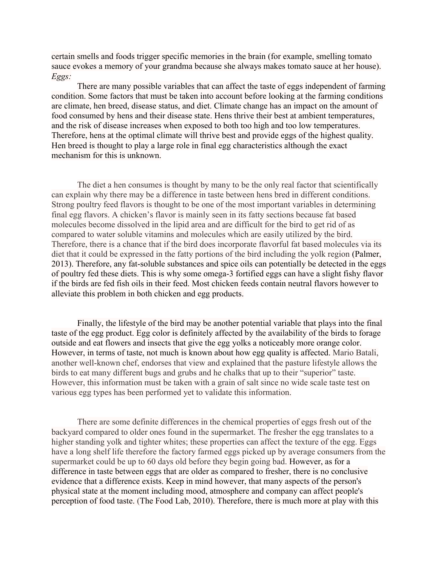certain smells and foods trigger specific memories in the brain (for example, smelling tomato sauce evokes a memory of your grandma because she always makes tomato sauce at her house). *Eggs:*

There are many possible variables that can affect the taste of eggs independent of farming condition. Some factors that must be taken into account before looking at the farming conditions are climate, hen breed, disease status, and diet. Climate change has an impact on the amount of food consumed by hens and their disease state. Hens thrive their best at ambient temperatures, and the risk of disease increases when exposed to both too high and too low temperatures. Therefore, hens at the optimal climate will thrive best and provide eggs of the highest quality. Hen breed is thought to play a large role in final egg characteristics although the exact mechanism for this is unknown.

The diet a hen consumes is thought by many to be the only real factor that scientifically can explain why there may be a difference in taste between hens bred in different conditions. Strong poultry feed flavors is thought to be one of the most important variables in determining final egg flavors. A chicken's flavor is mainly seen in its fatty sections because fat based molecules become dissolved in the lipid area and are difficult for the bird to get rid of as compared to water soluble vitamins and molecules which are easily utilized by the bird. Therefore, there is a chance that if the bird does incorporate flavorful fat based molecules via its diet that it could be expressed in the fatty portions of the bird including the yolk region (Palmer, 2013). Therefore, any fat-soluble substances and spice oils can potentially be detected in the eggs of poultry fed these diets. This is why some omega-3 fortified eggs can have a slight fishy flavor if the birds are fed fish oils in their feed. Most chicken feeds contain neutral flavors however to alleviate this problem in both chicken and egg products.

Finally, the lifestyle of the bird may be another potential variable that plays into the final taste of the egg product. Egg color is definitely affected by the availability of the birds to forage outside and eat flowers and insects that give the egg yolks a noticeably more orange color. However, in terms of taste, not much is known about how egg quality is affected. Mario Batali, another well-known chef, endorses that view and explained that the pasture lifestyle allows the birds to eat many different bugs and grubs and he chalks that up to their "superior" taste. However, this information must be taken with a grain of salt since no wide scale taste test on various egg types has been performed yet to validate this information.

There are some definite differences in the chemical properties of eggs fresh out of the backyard compared to older ones found in the supermarket. The fresher the egg translates to a higher standing yolk and tighter whites; these properties can affect the texture of the egg. Eggs have a long shelf life therefore the factory farmed eggs picked up by average consumers from the supermarket could be up to 60 days old before they begin going bad. However, as for a difference in taste between eggs that are older as compared to fresher, there is no conclusive evidence that a difference exists. Keep in mind however, that many aspects of the person's physical state at the moment including mood, atmosphere and company can affect people's perception of food taste. (The Food Lab, 2010). Therefore, there is much more at play with this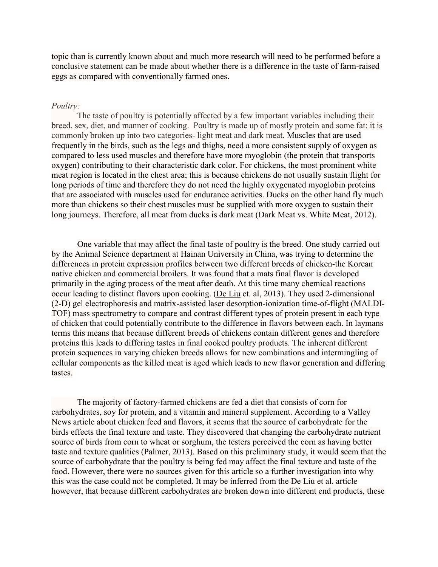topic than is currently known about and much more research will need to be performed before a conclusive statement can be made about whether there is a difference in the taste of farm-raised eggs as compared with conventionally farmed ones.

#### *Poultry:*

The taste of poultry is potentially affected by a few important variables including their breed, sex, diet, and manner of cooking. Poultry is made up of mostly protein and some fat; it is commonly broken up into two categories- light meat and dark meat. Muscles that are used frequently in the birds, such as the legs and thighs, need a more consistent supply of oxygen as compared to less used muscles and therefore have more myoglobin (the protein that transports oxygen) contributing to their characteristic dark color. For chickens, the most prominent white meat region is located in the chest area; this is because chickens do not usually sustain flight for long periods of time and therefore they do not need the highly oxygenated myoglobin proteins that are associated with muscles used for endurance activities. Ducks on the other hand fly much more than chickens so their chest muscles must be supplied with more oxygen to sustain their long journeys. Therefore, all meat from ducks is dark meat (Dark Meat vs. White Meat, 2012).

One variable that may affect the final taste of poultry is the breed. One study carried out by the Animal Science department at Hainan University in China, was trying to determine the differences in protein expression profiles between two different breeds of chicken-the Korean native chicken and commercial broilers. It was found that a mats final flavor is developed primarily in the aging process of the meat after death. At this time many chemical reactions occur leading to distinct flavors upon cooking. [\(De Liu](http://www.researchgate.net/researcher/2009029137_Xian_De_Liu/) et. al, 2013). They used 2-dimensional (2-D) gel electrophoresis and matrix-assisted laser desorption-ionization time-of-flight (MALDI-TOF) mass spectrometry to compare and contrast different types of protein present in each type of chicken that could potentially contribute to the difference in flavors between each. In laymans terms this means that because different breeds of chickens contain different genes and therefore proteins this leads to differing tastes in final cooked poultry products. The inherent different protein sequences in varying chicken breeds allows for new combinations and intermingling of cellular components as the killed meat is aged which leads to new flavor generation and differing tastes.

The majority of factory-farmed chickens are fed a diet that consists of corn for carbohydrates, soy for protein, and a vitamin and mineral supplement. According to a Valley News article about chicken feed and flavors, it seems that the source of carbohydrate for the birds effects the final texture and taste. They discovered that changing the carbohydrate nutrient source of birds from corn to wheat or sorghum, the testers perceived the corn as having better taste and texture qualities (Palmer, 2013). Based on this preliminary study, it would seem that the source of carbohydrate that the poultry is being fed may affect the final texture and taste of the food. However, there were no sources given for this article so a further investigation into why this was the case could not be completed. It may be inferred from the De Liu et al. article however, that because different carbohydrates are broken down into different end products, these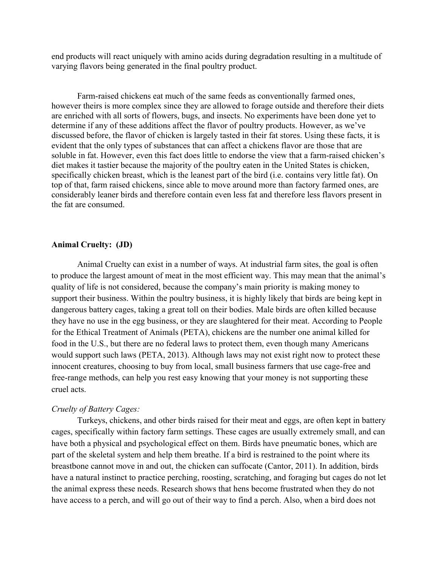end products will react uniquely with amino acids during degradation resulting in a multitude of varying flavors being generated in the final poultry product.

Farm-raised chickens eat much of the same feeds as conventionally farmed ones, however theirs is more complex since they are allowed to forage outside and therefore their diets are enriched with all sorts of flowers, bugs, and insects. No experiments have been done yet to determine if any of these additions affect the flavor of poultry products. However, as we've discussed before, the flavor of chicken is largely tasted in their fat stores. Using these facts, it is evident that the only types of substances that can affect a chickens flavor are those that are soluble in fat. However, even this fact does little to endorse the view that a farm-raised chicken's diet makes it tastier because the majority of the poultry eaten in the United States is chicken, specifically chicken breast, which is the leanest part of the bird (i.e. contains very little fat). On top of that, farm raised chickens, since able to move around more than factory farmed ones, are considerably leaner birds and therefore contain even less fat and therefore less flavors present in the fat are consumed.

### **Animal Cruelty: (JD)**

Animal Cruelty can exist in a number of ways. At industrial farm sites, the goal is often to produce the largest amount of meat in the most efficient way. This may mean that the animal's quality of life is not considered, because the company's main priority is making money to support their business. Within the poultry business, it is highly likely that birds are being kept in dangerous battery cages, taking a great toll on their bodies. Male birds are often killed because they have no use in the egg business, or they are slaughtered for their meat. According to People for the Ethical Treatment of Animals (PETA), chickens are the number one animal killed for food in the U.S., but there are no federal laws to protect them, even though many Americans would support such laws (PETA, 2013). Although laws may not exist right now to protect these innocent creatures, choosing to buy from local, small business farmers that use cage-free and free-range methods, can help you rest easy knowing that your money is not supporting these cruel acts.

#### *Cruelty of Battery Cages:*

 Turkeys, chickens, and other birds raised for their meat and eggs, are often kept in battery cages, specifically within factory farm settings. These cages are usually extremely small, and can have both a physical and psychological effect on them. Birds have pneumatic bones, which are part of the skeletal system and help them breathe. If a bird is restrained to the point where its breastbone cannot move in and out, the chicken can suffocate (Cantor, 2011). In addition, birds have a natural instinct to practice perching, roosting, scratching, and foraging but cages do not let the animal express these needs. Research shows that hens become frustrated when they do not have access to a perch, and will go out of their way to find a perch. Also, when a bird does not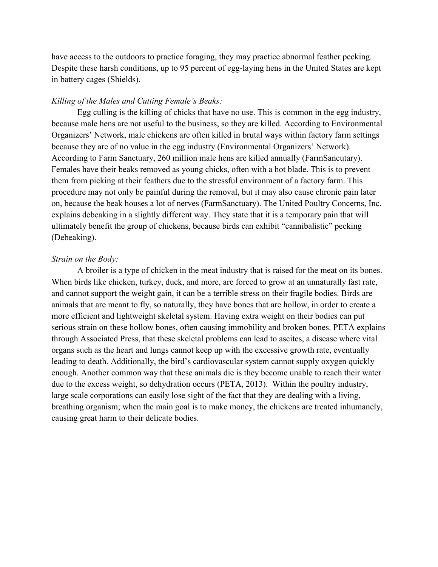have access to the outdoors to practice foraging, they may practice abnormal feather pecking. Despite these harsh conditions, up to 95 percent of egg-laying hens in the United States are kept in battery cages (Shields).

### *Killing of the Males and Cutting Female's Beaks:*

 Egg culling is the killing of chicks that have no use. This is common in the egg industry, because male hens are not useful to the business, so they are killed. According to Environmental Organizers' Network, male chickens are often killed in brutal ways within factory farm settings because they are of no value in the egg industry (Environmental Organizers' Network). According to Farm Sanctuary, 260 million male hens are killed annually (FarmSancutary). Females have their beaks removed as young chicks, often with a hot blade. This is to prevent them from picking at their feathers due to the stressful environment of a factory farm. This procedure may not only be painful during the removal, but it may also cause chronic pain later on, because the beak houses a lot of nerves (FarmSanctuary). The United Poultry Concerns, Inc. explains debeaking in a slightly different way. They state that it is a temporary pain that will ultimately benefit the group of chickens, because birds can exhibit "cannibalistic" pecking (Debeaking).

### *Strain on the Body:*

 A broiler is a type of chicken in the meat industry that is raised for the meat on its bones. When birds like chicken, turkey, duck, and more, are forced to grow at an unnaturally fast rate, and cannot support the weight gain, it can be a terrible stress on their fragile bodies. Birds are animals that are meant to fly, so naturally, they have bones that are hollow, in order to create a more efficient and lightweight skeletal system. Having extra weight on their bodies can put serious strain on these hollow bones, often causing immobility and broken bones. PETA explains through Associated Press, that these skeletal problems can lead to ascites, a disease where vital organs such as the heart and lungs cannot keep up with the excessive growth rate, eventually leading to death. Additionally, the bird's cardiovascular system cannot supply oxygen quickly enough. Another common way that these animals die is they become unable to reach their water due to the excess weight, so dehydration occurs (PETA, 2013). Within the poultry industry, large scale corporations can easily lose sight of the fact that they are dealing with a living, breathing organism; when the main goal is to make money, the chickens are treated inhumanely, causing great harm to their delicate bodies.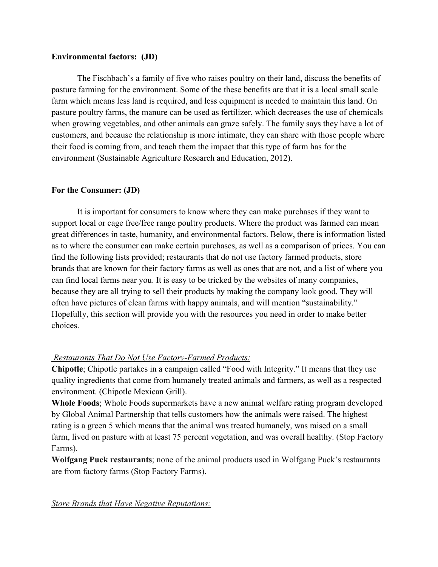### **Environmental factors: (JD)**

The Fischbach's a family of five who raises poultry on their land, discuss the benefits of pasture farming for the environment. Some of the these benefits are that it is a local small scale farm which means less land is required, and less equipment is needed to maintain this land. On pasture poultry farms, the manure can be used as fertilizer, which decreases the use of chemicals when growing vegetables, and other animals can graze safely. The family says they have a lot of customers, and because the relationship is more intimate, they can share with those people where their food is coming from, and teach them the impact that this type of farm has for the environment (Sustainable Agriculture Research and Education, 2012).

### **For the Consumer: (JD)**

It is important for consumers to know where they can make purchases if they want to support local or cage free/free range poultry products. Where the product was farmed can mean great differences in taste, humanity, and environmental factors. Below, there is information listed as to where the consumer can make certain purchases, as well as a comparison of prices. You can find the following lists provided; restaurants that do not use factory farmed products, store brands that are known for their factory farms as well as ones that are not, and a list of where you can find local farms near you. It is easy to be tricked by the websites of many companies, because they are all trying to sell their products by making the company look good. They will often have pictures of clean farms with happy animals, and will mention "sustainability." Hopefully, this section will provide you with the resources you need in order to make better choices.

### *Restaurants That Do Not Use Factory-Farmed Products:*

**Chipotle**; Chipotle partakes in a campaign called "Food with Integrity." It means that they use quality ingredients that come from humanely treated animals and farmers, as well as a respected environment. (Chipotle Mexican Grill).

**Whole Foods**; Whole Foods supermarkets have a new animal welfare rating program developed by Global Animal Partnership that tells customers how the animals were raised. The highest rating is a green 5 which means that the animal was treated humanely, was raised on a small farm, lived on pasture with at least 75 percent vegetation, and was overall healthy. (Stop Factory Farms).

**Wolfgang Puck restaurants**; none of the animal products used in Wolfgang Puck's restaurants are from factory farms (Stop Factory Farms).

*Store Brands that Have Negative Reputations:*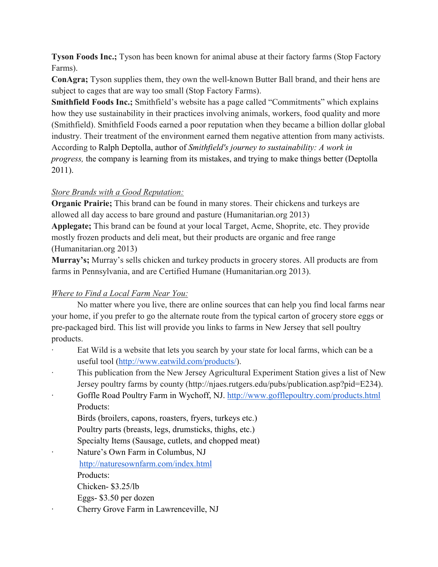**Tyson Foods Inc.;** Tyson has been known for animal abuse at their factory farms (Stop Factory Farms).

**ConAgra;** Tyson supplies them, they own the well-known Butter Ball brand, and their hens are subject to cages that are way too small (Stop Factory Farms).

**Smithfield Foods Inc.;** Smithfield's website has a page called "Commitments" which explains how they use sustainability in their practices involving animals, workers, food quality and more (Smithfield). Smithfield Foods earned a poor reputation when they became a billion dollar global industry. Their treatment of the environment earned them negative attention from many activists. According to Ralph Deptolla, author of *Smithfield's journey to sustainability: A work in progress,* the company is learning from its mistakes, and trying to make things better (Deptolla 2011).

## *Store Brands with a Good Reputation:*

**Organic Prairie;** This brand can be found in many stores. Their chickens and turkeys are allowed all day access to bare ground and pasture (Humanitarian.org 2013) **Applegate;** This brand can be found at your local Target, Acme, Shoprite, etc. They provide mostly frozen products and deli meat, but their products are organic and free range (Humanitarian.org 2013)

**Murray's;** Murray's sells chicken and turkey products in grocery stores. All products are from farms in Pennsylvania, and are Certified Humane (Humanitarian.org 2013).

# *Where to Find a Local Farm Near You:*

No matter where you live, there are online sources that can help you find local farms near your home, if you prefer to go the alternate route from the typical carton of grocery store eggs or pre-packaged bird. This list will provide you links to farms in New Jersey that sell poultry products.

- Eat Wild is a website that lets you search by your state for local farms, which can be a useful tool [\(http://www.eatwild.com/products/\)](http://www.eatwild.com/products/).
- This publication from the New Jersey Agricultural Experiment Station gives a list of New Jersey poultry farms by county (http://njaes.rutgers.edu/pubs/publication.asp?pid=E234).
- Goffle Road Poultry Farm in Wychoff, NJ[.](http://www.gofflepoultry.com/products.html) <http://www.gofflepoultry.com/products.html> Products:

Birds (broilers, capons, roasters, fryers, turkeys etc.)

Poultry parts (breasts, legs, drumsticks, thighs, etc.)

Specialty Items (Sausage, cutlets, and chopped meat)

Nature's Own Farm in Columbus, NJ <http://naturesownfarm.com/index.html>

Products:

Chicken- \$3.25/lb

- Eggs- \$3.50 per dozen
- · Cherry Grove Farm in Lawrenceville, NJ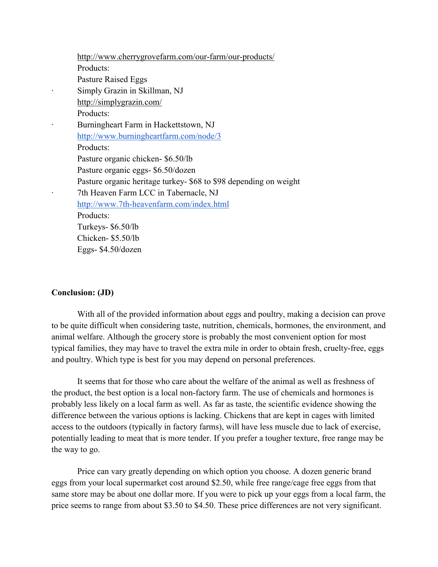<http://www.cherrygrovefarm.com/our-farm/our-products/> Products: Pasture Raised Eggs Simply Grazin in Skillman, NJ <http://simplygrazin.com/> Products: Burningheart Farm in Hackettstown, NJ <http://www.burningheartfarm.com/node/3> Products: Pasture organic chicken- \$6.50/lb Pasture organic eggs- \$6.50/dozen Pasture organic heritage turkey- \$68 to \$98 depending on weight 7th Heaven Farm LCC in Tabernacle, NJ <http://www.7th-heavenfarm.com/index.html> Products: Turkeys- \$6.50/lb Chicken- \$5.50/lb Eggs- \$4.50/dozen

#### **Conclusion: (JD)**

With all of the provided information about eggs and poultry, making a decision can prove to be quite difficult when considering taste, nutrition, chemicals, hormones, the environment, and animal welfare. Although the grocery store is probably the most convenient option for most typical families, they may have to travel the extra mile in order to obtain fresh, cruelty-free, eggs and poultry. Which type is best for you may depend on personal preferences.

It seems that for those who care about the welfare of the animal as well as freshness of the product, the best option is a local non-factory farm. The use of chemicals and hormones is probably less likely on a local farm as well. As far as taste, the scientific evidence showing the difference between the various options is lacking. Chickens that are kept in cages with limited access to the outdoors (typically in factory farms), will have less muscle due to lack of exercise, potentially leading to meat that is more tender. If you prefer a tougher texture, free range may be the way to go.

Price can vary greatly depending on which option you choose. A dozen generic brand eggs from your local supermarket cost around \$2.50, while free range/cage free eggs from that same store may be about one dollar more. If you were to pick up your eggs from a local farm, the price seems to range from about \$3.50 to \$4.50. These price differences are not very significant.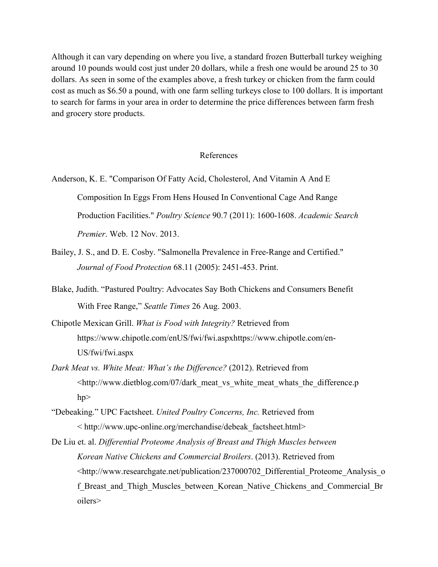Although it can vary depending on where you live, a standard frozen Butterball turkey weighing around 10 pounds would cost just under 20 dollars, while a fresh one would be around 25 to 30 dollars. As seen in some of the examples above, a fresh turkey or chicken from the farm could cost as much as \$6.50 a pound, with one farm selling turkeys close to 100 dollars. It is important to search for farms in your area in order to determine the price differences between farm fresh and grocery store products.

### References

- Anderson, K. E. "Comparison Of Fatty Acid, Cholesterol, And Vitamin A And E Composition In Eggs From Hens Housed In Conventional Cage And Range Production Facilities." *Poultry Science* 90.7 (2011): 1600-1608. *Academic Search Premier*. Web. 12 Nov. 2013.
- Bailey, J. S., and D. E. Cosby. "Salmonella Prevalence in Free-Range and Certified." *Journal of Food Protection* 68.11 (2005): 2451-453. Print.
- Blake, Judith. "Pastured Poultry: Advocates Say Both Chickens and Consumers Benefit With Free Range," *Seattle Times* 26 Aug. 2003.
- Chipotle Mexican Grill. *What is Food with Integrity?* Retrieved from https://www.chipotle.com/enUS/fwi/fwi.aspxhttps://www.chipotle.com/en-US/fwi/fwi.aspx
- *Dark Meat vs. White Meat: What's the Difference?* (2012). Retrieved from <http://www.dietblog.com/07/dark\_meat\_vs\_white\_meat\_whats\_the\_difference.p  $hp$
- "Debeaking." UPC Factsheet. *United Poultry Concerns, Inc.* Retrieved from < http://www.upc-online.org/merchandise/debeak\_factsheet.html>
- [De Liu](http://www.researchgate.net/researcher/2009029137_Xian_De_Liu/) et. al. *Differential Proteome Analysis of Breast and Thigh Muscles between Korean Native Chickens and Commercial Broilers*. (2013). Retrieved from <http://www.researchgate.net/publication/237000702\_Differential\_Proteome\_Analysis\_o f Breast and Thigh Muscles between Korean Native Chickens and Commercial Br oiler[s>](http://www.researchgate.net/publication/237000702_Differential_Proteome_Analysis_of_Breast_and_Thigh_Muscles_between_Korean_Native_Chickens_and_Commercial_Broilers)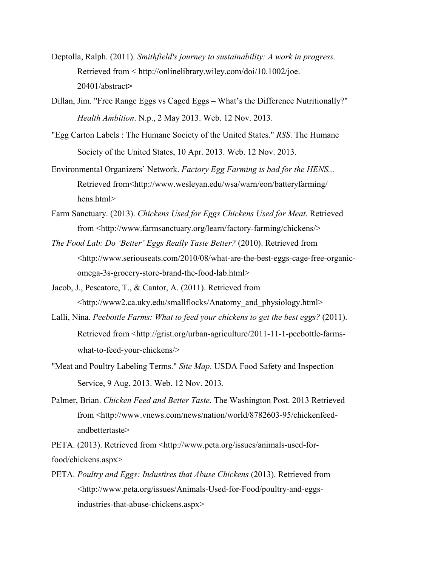- Deptolla, Ralph. (2011). *[Smithfield's journey to sustainability: A work in progress.](https://www.chipotle.com/en-US/fwi/fwi.aspx)* Retrieved from < http://onlinelibrary.wiley.com/doi/10.1002/joe. 20401/abstract**>**
- Dillan, Jim. "Free Range Eggs vs Caged Eggs What's the Difference Nutritionally?" *Health Ambition*. N.p., 2 May 2013. Web. 12 Nov. 2013.
- "Egg Carton Labels : The Humane Society of the United States." *RSS*. The Humane Society of the United States, 10 Apr. 2013. Web. 12 Nov. 2013.
- Environmental Organizers' Network. *Factory Egg Farming is bad for the HENS...* Retrieved from<http://www.wesleyan.edu[/ws](http://www.researchgate.net/publication/237000702_Differential_Proteome_Analysis_of_Breast_and_Thigh_Muscles_between_Korean_Native_Chickens_and_Commercial_Broilers)a/warn/eon/batteryfarming/ hens.html>
- Farm Sanctuary. (2013). *Chickens Used for Eggs Chickens Used for Meat*. Retrieved from <http://www.farmsanctuary.org/learn/factory-farming/chickens/>
- *The Food Lab: Do 'Better' Eggs Really Taste Better?* (2010). Retrieved from <http://www.seriouseats.com/2010/08/what-are-the-best-eggs-cage-free-organicomega-3s-grocery-store-brand-the-food-lab.html>
- Jacob, J., Pescatore, T., & Cantor, A. (2011). Retrieved from <http://www2.ca.uky.edu/smallflocks/Anatomy\_and\_physiology.html>
- Lalli, Nina. *Peebottle Farms: What to feed your chickens to get the best eggs?* (2011). Retrieved from <http://grist.org/urban-agriculture/2011-11-1-peebottle-farmswhat-to-feed-your-chickens/>
- "Meat and Poultry Labeling Terms." *Site Map*. USDA Food Safety and Inspection Service, 9 Aug. 2013. Web. 12 Nov. 2013.
- Palmer, Brian. *Chicken Feed and Better Taste*. The Washington Post. 2013 Retrieved from <http://www.vnews.com/news/nation/world/8782603-95/chickenfeedandbettertast[e>](http://www.vnews.com/news/nation/world/8782603-95/chickenfeed-andbettertaste)

PETA. (2013). Retrieved from <http://www.peta.org/issues/animals-used-forfood/chickens.aspx>

PETA. *Poultry and Eggs: Industires that Abuse Chickens* (2013). Retrieved from <http://www.peta.org/issues/Animals-Used-for-Food/poultry-and-eggsindustries-that-abuse-chickens.aspx>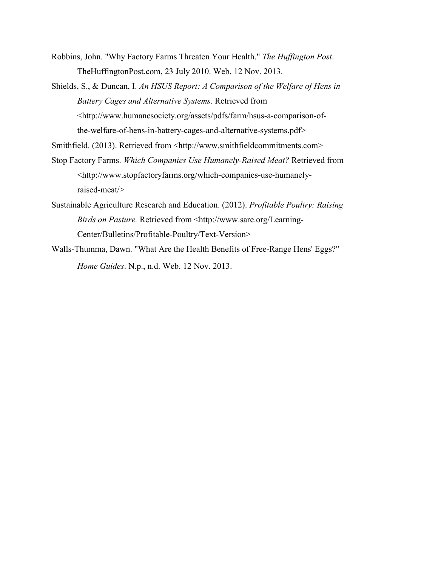- Robbins, John. "Why Factory Farms Threaten Your Health." *The Huffington Post*. TheHuffingtonPost.com, 23 July 2010. Web. 12 Nov. 2013.
- Shields, S., & Duncan, I. *An HSUS Report: A Comparison of the Welfare of Hens in Battery Cages and Alternative Systems.* Retrieved from <http://www.humanesociety.org/assets/pdfs/farm/hsus-a-comparison-ofthe-welfare-of-hens-in-battery-cages-and-alternative-systems.pdf>

Smithfield. (2013). Retrieved from <http://www.smithfieldcommitments.com>

- Stop Factory Farms. *Which Companies Use Humanely-Raised Meat?* Retrieved from <http://www.stopfactoryfarms.org/which-companies-use-humanelyraised-meat/>
- Sustainable Agriculture Research and Education. (2012). *Profitable Poultry: Raising Birds on Pasture.* Retrieved from <http://www.sare.org/Learning-Center/Bulletins/Profitable-Poultry/Text-Version>
- Walls-Thumma, Dawn. "What Are the Health Benefits of Free-Range Hens' Eggs?" *Home Guides*. N.p., n.d. Web. 12 Nov. 2013.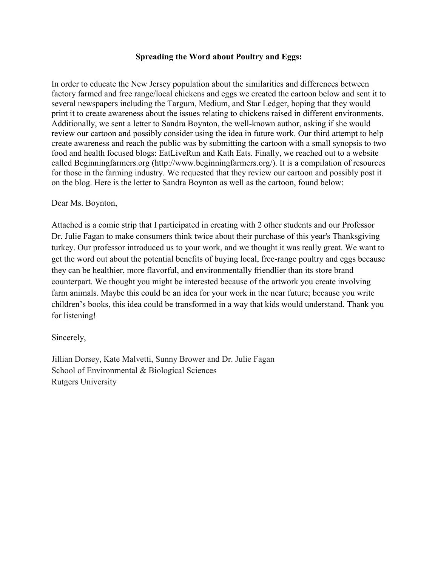### **Spreading the Word about Poultry and Eggs:**

In order to educate the New Jersey population about the similarities and differences between factory farmed and free range/local chickens and eggs we created the cartoon below and sent it to several newspapers including the Targum, Medium, and Star Ledger, hoping that they would print it to create awareness about the issues relating to chickens raised in different environments. Additionally, we sent a letter to Sandra Boynton, the well-known author, asking if she would review our cartoon and possibly consider using the idea in future work. Our third attempt to help create awareness and reach the public was by submitting the cartoon with a small synopsis to two food and health focused blogs: EatLiveRun and Kath Eats. Finally, we reached out to a website called Beginningfarmers.org (http://www.beginningfarmers.org/). It is a compilation of resources for those in the farming industry. We requested that they review our cartoon and possibly post it on the blog. Here is the letter to Sandra Boynton as well as the cartoon, found below:

### Dear Ms. Boynton,

Attached is a comic strip that I participated in creating with 2 other students and our Professor Dr. Julie Fagan to make consumers think twice about their purchase of this year's Thanksgiving turkey. Our professor introduced us to your work, and we thought it was really great. We want to get the word out about the potential benefits of buying local, free-range poultry and eggs because they can be healthier, more flavorful, and environmentally friendlier than its store brand counterpart. We thought you might be interested because of the artwork you create involving farm animals. Maybe this could be an idea for your work in the near future; because you write children's books, this idea could be transformed in a way that kids would understand. Thank you for listening!

Sincerely,

Jillian Dorsey, Kate Malvetti, Sunny Brower and Dr. Julie Fagan School of Environmental & Biological Sciences Rutgers University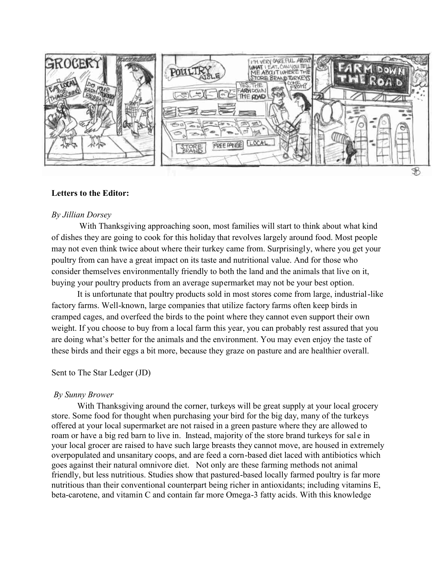

### **Letters to the Editor:**

#### *By Jillian Dorsey*

With Thanksgiving approaching soon, most families will start to think about what kind of dishes they are going to cook for this holiday that revolves largely around food. Most people With Thanksgiving approaching soon, most families will start to think about what kind<br>of dishes they are going to cook for this holiday that revolves largely around food. Most people<br>may not even think twice about where th poultry from can have a great impact on its taste and nutritional value. And for those who consider themselves environmentally friendly to both the land and the animals that live on it, buying your poultry products from an average supermarket may not be your best option. buying your poultry products from an average supermarket may not be your best option.<br>It is unfortunate that poultry products sold in most stores come from large, industrial-like poultry from can have a great impact on its taste and nutritional value. And for those who<br>consider themselves environmentally friendly to both the land and the animals that live c<br>buying your poultry products from an aver

It is unfortunate that poultry products sold in most stores come from large, industrifactory farms. Well-known, large companies that utilize factory farms often keep birds in cramped cages, and overfeed the birds to the point where they cannot even support their own weight. If you choose to buy from a local farm this year, you can probably rest assured that you are doing what's better for the animals and the environment. You may even enjoy the taste of these birds and their eggs a bit more, because they graze on pasture and are healthier overall. cramped cages, and overfeed the birds to the point where they cannot even support their own<br>weight. If you choose to buy from a local farm this year, you can probably rest assured that y<br>are doing what's better for the ani

#### Sent to The Star Ledger (JD)

### *By Sunny Brower*

With Thanksgiving around the corner, turkeys will be great supply at your local grocery store. Some food for thought when purchasing your bird for the big day, many of the turkeys offered at your local supermarket are not raised in a green pasture where they are allowed to roam or have a big red barn to live in. Instead, majority of the store brand turkeys for sale in your local grocer are raised to have such large breasts they cannot move, are housed in extremely overpopulated and unsanitary coops, and are feed a corn goes against their natural omnivore diet. Not only are these farming methods not animal friendly, but less nutritious. Studies show that pastured-based locally farmed poultry is far more nutritious than their conventional counterpart being richer in antioxidants; including vitamins E, nutritious than their conventional counterpart being richer in antioxidants; including vitamins beta-carotene, and vitamin C and contain far more Omega-3 fatty acids. With this knowledge barn to live in. Instead, majority of the store brand turkeys for sale in<br>ised to have such large breasts they cannot move, are housed in extremely<br>anitary coops, and are feed a corn-based diet laced with antibiotics which a based diet laced with antibiotics which<br>these farming methods not animal<br>based locally farmed poultry is far mo<br>er in antioxidants; including vitamins<br>ga-3 fatty acids. With this knowledge